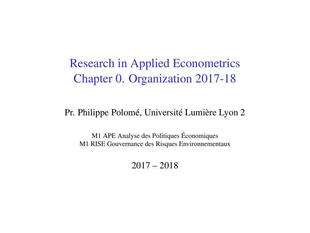Research in Applied Econometrics Chapter 0. Organization 2017-18

#### Pr. Philippe Polomé, Université Lumière Lyon 2

M1 APE Analyse des Politiques Économiques M1 RISE Gouvernance des Risques Environnementaux

2017 – 2018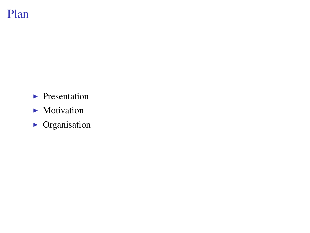## Plan

- $\blacktriangleright$  Presentation
- $\blacktriangleright$  Motivation
- $\triangleright$  Organisation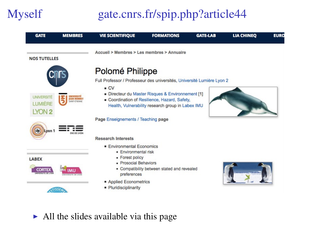# Myself gate.cnrs.fr/spip.php?article44

| <b>GATE</b>                                              | <b>MEMBRES</b>                           | <b>VIE SCIENTIFIQUE</b>                                                                                                                  | <b>FORMATIONS</b>                                                                                                                                   | <b>GATE-LAB</b> | <b>LIA CHINEO</b> | <b>EURC</b> |
|----------------------------------------------------------|------------------------------------------|------------------------------------------------------------------------------------------------------------------------------------------|-----------------------------------------------------------------------------------------------------------------------------------------------------|-----------------|-------------------|-------------|
| <b>NOS TUTELLES</b>                                      |                                          | Accueil > Membres > Les membres > Annuaire                                                                                               |                                                                                                                                                     |                 |                   |             |
|                                                          |                                          | Polomé Philippe<br>Full Professor / Professeur des universités, Université Lumière Lyon 2<br>$-CV$                                       |                                                                                                                                                     |                 |                   |             |
| <b>UNIVERSITÉ</b><br><b>LUMIÈRE</b><br>LYON <sub>2</sub> | <b>JEAN MOMNE</b><br><b>SARIT-FTENNE</b> |                                                                                                                                          | Directeur du Master Risques & Environnement [1]<br>Coordination of Resilience, Hazard, Safety,<br>Health, Vulnerability research group in Labex IMU |                 |                   |             |
|                                                          |                                          | Page Enseignements / Teaching page                                                                                                       |                                                                                                                                                     |                 |                   |             |
| Lyon '                                                   |                                          | <b>Research Interests</b><br><b>Environmental Economics</b>                                                                              |                                                                                                                                                     |                 |                   |             |
| <b>LABEX</b><br><b>CORTEX</b>                            |                                          | <b>Environmental risk</b><br>- Forest policy<br><b>Prosocial Behaviors</b><br>• Compatibility between stated and revealed<br>preferences |                                                                                                                                                     |                 |                   |             |
|                                                          |                                          | Applied Econometrics<br>· Pluridisciplinarity                                                                                            |                                                                                                                                                     |                 |                   |             |

 $\blacktriangleright$  All the slides available via this page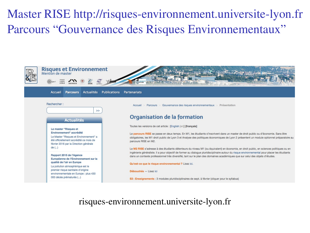## Master RISE<http://risques-environnement.universite-lyon.fr> Parcours "Gouvernance des Risques Environnementaux"



#### risques-environnement.universite-lyon.fr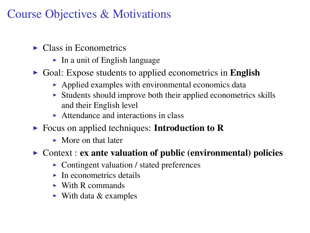## Course Objectives & Motivations

- $\blacktriangleright$  Class in Econometrics
	- $\blacktriangleright$  In a unit of English language
- $\triangleright$  Goal: Expose students to applied econometrics in English
	- $\blacktriangleright$  Applied examples with environmental economics data
	- $\triangleright$  Students should improve both their applied econometrics skills and their English level
	- $\triangleright$  Attendance and interactions in class
- $\triangleright$  Focus on applied techniques: Introduction to R
	- $\blacktriangleright$  More on that later
- $\triangleright$  Context : ex ante valuation of public (environmental) policies
	- $\triangleright$  Contingent valuation / stated preferences
	- $\blacktriangleright$  In econometrics details
	- $\triangleright$  With R commands
	- $\triangleright$  With data & examples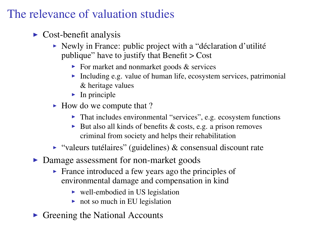## The relevance of valuation studies

- $\triangleright$  Cost-benefit analysis
	- $\triangleright$  Newly in France: public project with a "déclaration d'utilité" publique" have to justify that Benefit > Cost
		- $\triangleright$  For market and nonmarket goods & services
		- Including e.g. value of human life, ecosystem services, patrimonial & heritage values
		- $\blacktriangleright$  In principle
	- $\blacktriangleright$  How do we compute that ?
		- $\blacktriangleright$  That includes environmental "services", e.g. ecosystem functions
		- $\triangleright$  But also all kinds of benefits & costs, e.g. a prison removes criminal from society and helps their rehabilitation
	- $\triangleright$  "valeurs tutélaires" (guidelines) & consensual discount rate
- Damage assessment for non-market goods
	- $\triangleright$  France introduced a few years ago the principles of environmental damage and compensation in kind
		- $\triangleright$  well-embodied in US legislation
		- $\triangleright$  not so much in EU legislation
- $\triangleright$  Greening the National Accounts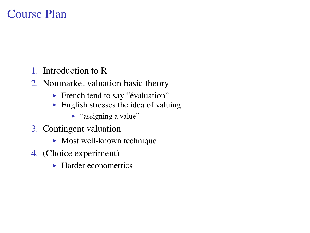#### Course Plan

- 1. Introduction to R
- 2. Nonmarket valuation basic theory
	- **French tend to say "évaluation"**
	- $\blacktriangleright$  English stresses the idea of valuing
		- $\blacktriangleright$  "assigning a value"
- 3. Contingent valuation
	- $\blacktriangleright$  Most well-known technique
- 4. (Choice experiment)
	- $\blacktriangleright$  Harder econometrics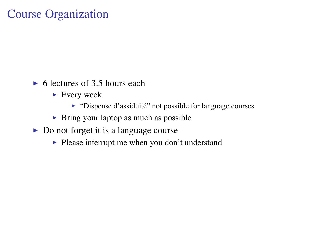#### Course Organization

- $\triangleright$  6 lectures of 3.5 hours each
	- $\blacktriangleright$  Every week
		- $\triangleright$  "Dispense d'assiduité" not possible for language courses
	- $\triangleright$  Bring your laptop as much as possible
- $\triangleright$  Do not forget it is a language course
	- $\blacktriangleright$  Please interrupt me when you don't understand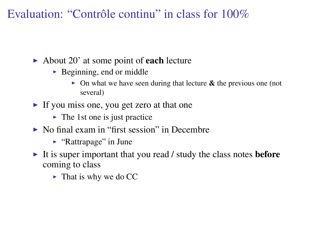Evaluation: "Contrôle continu" in class for 100%

- $\blacktriangleright$  About 20' at some point of **each** lecture
	- $\triangleright$  Beginning, end or middle
		- $\triangleright$  On what we have seen during that lecture  $\&$  the previous one (not several)
- If you miss one, you get zero at that one
	- $\triangleright$  The 1st one is just practice
- $\triangleright$  No final exam in "first session" in Decembre
	- $\blacktriangleright$  "Rattrapage" in June
- It is super important that you read / study the class notes **before** coming to class
	- $\blacktriangleright$  That is why we do CC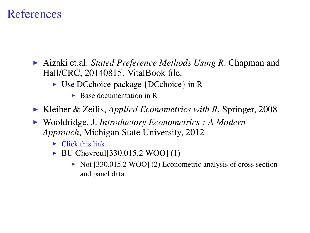#### References

- ► Aizaki et.al. *Stated Preference Methods Using R*. Chapman and Hall/CRC, 20140815. VitalBook file.
	- $\triangleright$  Use DCchoice-package {DCchoice} in R
		- $\blacktriangleright$  Base documentation in R
- ► Kleiber & Zeilis, *Applied Econometrics with R*, Springer, 2008
- ▶ Wooldridge, J. *Introductory Econometrics : A Modern Approach*, Michigan State University, 2012
	- $\triangleright$  [Click this link](http://www.swlearning.com/economics/wooldridge/wooldridge2e/wooldridge2e.html)
	- $\triangleright$  BU Chevreul [330.015.2 WOO] (1)
		- $\triangleright$  Not [330.015.2 WOO] (2) Econometric analysis of cross section and panel data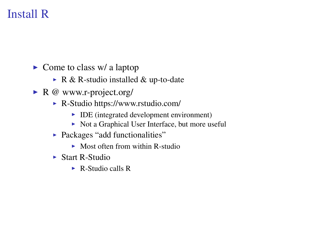## Install R

- $\triangleright$  Come to class w/ a laptop
	- $\triangleright$  R & R-studio installed & up-to-date
- $\triangleright$  R @ www.r-project.org/
	- $\triangleright$  R-Studio https://www.rstudio.com/
		- $\triangleright$  IDE (integrated development environment)
		- $\triangleright$  Not a Graphical User Interface, but more useful
	- Packages "add functionalities"
		- $\triangleright$  Most often from within R-studio
	- $\blacktriangleright$  Start R-Studio
		- $\triangleright$  R-Studio calls R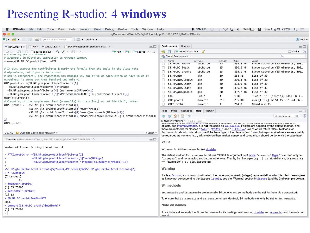#### Presenting R-studio: 4 windows

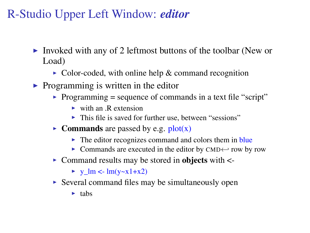## R-Studio Upper Left Window: *editor*

- Invoked with any of 2 leftmost buttons of the toolbar (New or Load)
	- $\triangleright$  Color-coded, with online help & command recognition
- $\triangleright$  Programming is written in the editor
	- $\triangleright$  Programming = sequence of commands in a text file "script"
		- $\triangleright$  with an .R extension
		- $\triangleright$  This file is saved for further use, between "sessions"
	- **Commands** are passed by e.g.  $plot(x)$ 
		- $\triangleright$  The editor recognizes command and colors them in blue
		- $\triangleright$  Commands are executed in the editor by CMD $\leftrightarrow$  row by row
	- $\triangleright$  Command results may be stored in objects with  $\lt$ -
		- $\blacktriangleright$  y\_lm <- lm(y~x1+x2)
	- $\triangleright$  Several command files may be simultaneously open
		- $\blacktriangleright$  tabs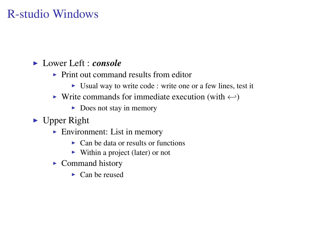### R-studio Windows

#### I Lower Left : *console*

- $\triangleright$  Print out command results from editor
	- In Usual way to write code : write one or a few lines, test it
- In Write commands for immediate execution (with  $\leftrightarrow$ )
	- $\triangleright$  Does not stay in memory
- $\blacktriangleright$  Upper Right
	- $\blacktriangleright$  Environment: List in memory
		- $\triangleright$  Can be data or results or functions
		- $\triangleright$  Within a project (later) or not
	- $\triangleright$  Command history
		- $\blacktriangleright$  Can be reused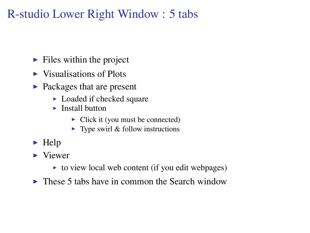## R-studio Lower Right Window : 5 tabs

- $\blacktriangleright$  Files within the project
- $\triangleright$  Visualisations of Plots
- $\blacktriangleright$  Packages that are present
	- $\blacktriangleright$  Loaded if checked square
	- $\blacktriangleright$  Install button
		- $\triangleright$  Click it (you must be connected)
		- $\blacktriangleright$  Type swirl & follow instructions
- $\blacktriangleright$  Help
- $\blacktriangleright$  Viewer
	- $\triangleright$  to view local web content (if you edit webpages)
- $\triangleright$  These 5 tabs have in common the Search window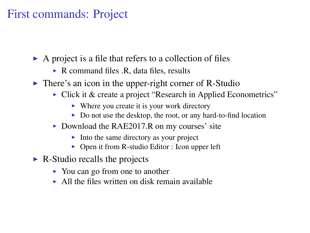#### First commands: Project

- $\triangleright$  A project is a file that refers to a collection of files
	- $\triangleright$  R command files .R, data files, results
- $\triangleright$  There's an icon in the upper-right corner of R-Studio
	- $\triangleright$  Click it & create a project "Research in Applied Econometrics"
		- $\triangleright$  Where you create it is your work directory
		- $\triangleright$  Do not use the desktop, the root, or any hard-to-find location
	- $\triangleright$  Download the RAE2017.R on my courses' site
		- $\blacktriangleright$  Into the same directory as your project
		- $\triangleright$  Open it from R-studio Editor : Icon upper left
- $\triangleright$  R-Studio recalls the projects
	- $\triangleright$  You can go from one to another
	- $\triangleright$  All the files written on disk remain available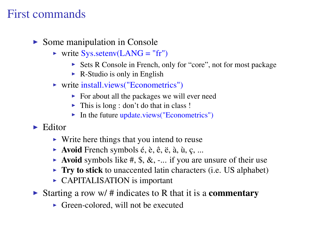#### First commands

- $\triangleright$  Some manipulation in Console
	- $\triangleright$  write Sys.setenv(LANG = "fr")
		- ► Sets R Console in French, only for "core", not for most package
		- $\triangleright$  R-Studio is only in English
	- $\triangleright$  write install.views("Econometrics")
		- $\triangleright$  For about all the packages we will ever need
		- $\blacktriangleright$  This is long : don't do that in class !
		- $\blacktriangleright$  In the future update.views("Econometrics")
- $\blacktriangleright$  Editor
	- $\triangleright$  Write here things that you intend to reuse
	- $\blacktriangleright$  **Avoid** French symbols é, è, ê, ë, à, ù, c, ...
	- $\triangleright$  Avoid symbols like #, \$, &, -... if you are unsure of their use
	- $\triangleright$  Try to stick to unaccented latin characters (i.e. US alphabet)
	- $\triangleright$  CAPITALISATION is important
- In Starting a row w/ # indicates to R that it is a **commentary** 
	- $\triangleright$  Green-colored, will not be executed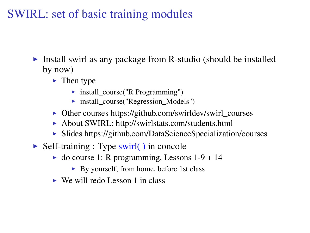#### SWIRL: set of basic training modules

- Install swirl as any package from R-studio (should be installed by now)
	- $\blacktriangleright$  Then type
		- $\triangleright$  install course("R Programming")
		- $\triangleright$  install\_course("Regression\_Models")
	- Other courses https://github.com/swirldev/swirl\_courses
	- ▶ About SWIRL: http://swirlstats.com/students.html
	- $\triangleright$  Slides https://github.com/DataScienceSpecialization/courses
- $\triangleright$  Self-training : Type swirl( ) in concole
	- $\triangleright$  do course 1: R programming, Lessons 1-9 + 14
		- $\triangleright$  By yourself, from home, before 1st class
	- $\triangleright$  We will redo Lesson 1 in class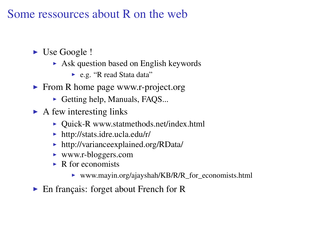#### Some ressources about R on the web

- $\blacktriangleright$  Use Google !
	- $\triangleright$  Ask question based on English keywords
		- ► e.g. "R read Stata data"
- $\triangleright$  From R home page www.r-project.org
	- $\triangleright$  Getting help, Manuals, FAQS...
- $\triangleright$  A few interesting links
	- $\triangleright$  Quick-R www.statmethods.net/index.html
	- $\triangleright$  http://stats.idre.ucla.edu/r/
	- $\triangleright$  http://varianceexplained.org/RData/
	- ► www.r-bloggers.com
	- $\triangleright$  R for economists
		- ▶ www.mayin.org/ajayshah/KB/R/R\_for\_economists.html
- $\blacktriangleright$  En français: forget about French for R